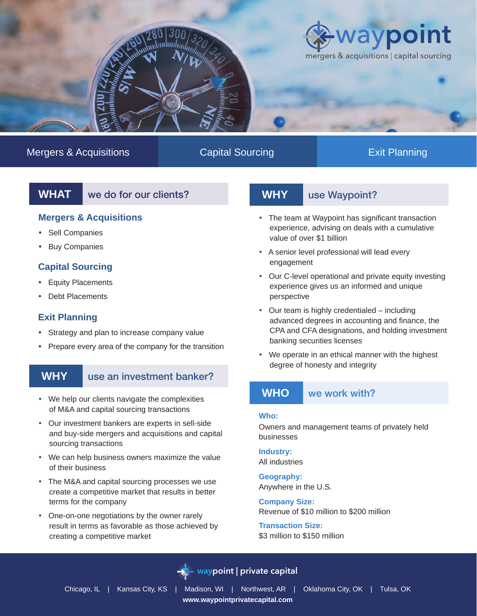

# Mergers & Acquisitions **Capital Sourcing Capital Sourcing** Exit Planning

**WHAT** we do for our clients?

### **Mergers & Acquisitions**

- Sell Companies
- Buy Companies

# **Capital Sourcing**

- Equity Placements
- Debt Placements

# **Exit Planning**

- Strategy and plan to increase company value
- Prepare every area of the company for the transition

# **WHY** use an investment banker?

- We help our clients navigate the complexities of M&A and capital sourcing transactions
- Our investment bankers are experts in sell-side and buy-side mergers and acquisitions and capital sourcing transactions
- We can help business owners maximize the value of their business
- The M&A and capital sourcing processes we use create a competitive market that results in better terms for the company
- One-on-one negotiations by the owner rarely result in terms as favorable as those achieved by creating a competitive market

# **WHY** use Waypoint?

- The team at Waypoint has significant transaction experience, advising on deals with a cumulative value of over \$1 billion
- A senior level professional will lead every engagement
- Our C-level operational and private equity investing experience gives us an informed and unique perspective
- Our team is highly credentialed including advanced degrees in accounting and finance, the CPA and CFA designations, and holding investment banking securities licenses
- We operate in an ethical manner with the highest degree of honesty and integrity

### WHO we work with?

### **Who:**

Owners and management teams of privately held businesses

**Industry:**  All industries

**Geography:**  Anywhere in the U.S.

**Company Size:**  Revenue of \$10 million to \$200 million

**Transaction Size:** \$3 million to \$150 million



# **waypoint | private capital**

Chicago, IL | Kansas City, KS | Madison, WI | Northwest, AR | Oklahoma City, OK | Tulsa, OK **www.waypointprivatecapital.com**